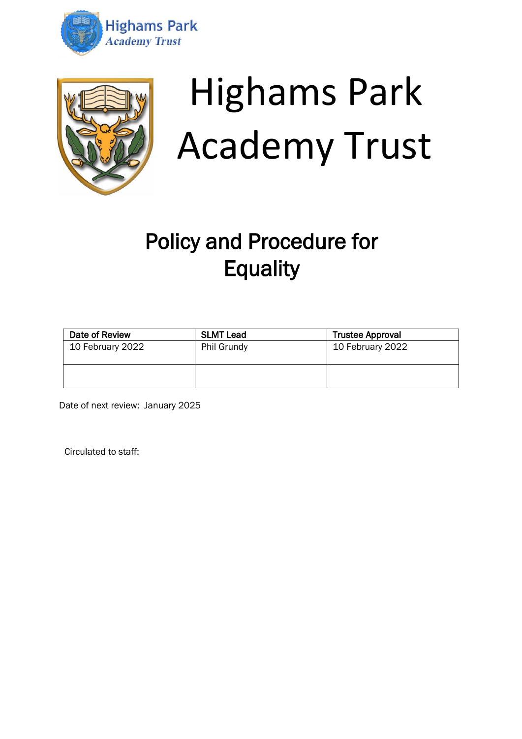



# Highams Park Academy Trust

# Policy and Procedure for **Equality**

| Date of Review   | <b>SLMT Lead</b> | <b>Trustee Approval</b> |
|------------------|------------------|-------------------------|
| 10 February 2022 | Phil Grundy      | 10 February 2022        |
|                  |                  |                         |

Date of next review: January 2025

Circulated to staff: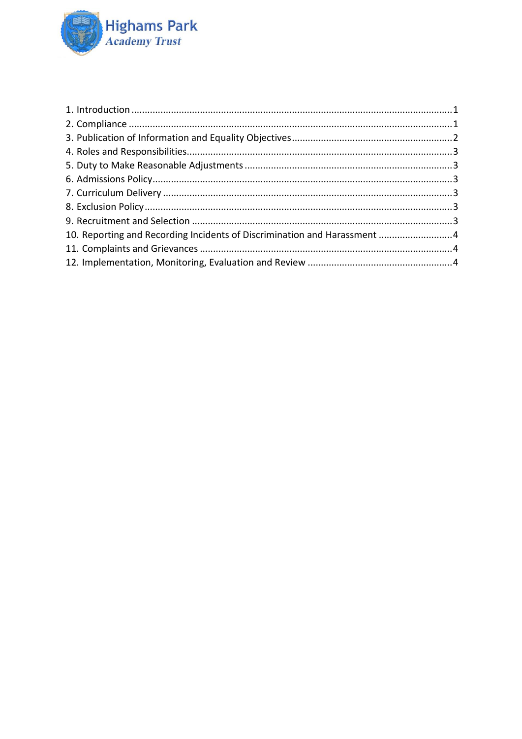

| 10. Reporting and Recording Incidents of Discrimination and Harassment 4 |  |
|--------------------------------------------------------------------------|--|
|                                                                          |  |
|                                                                          |  |
|                                                                          |  |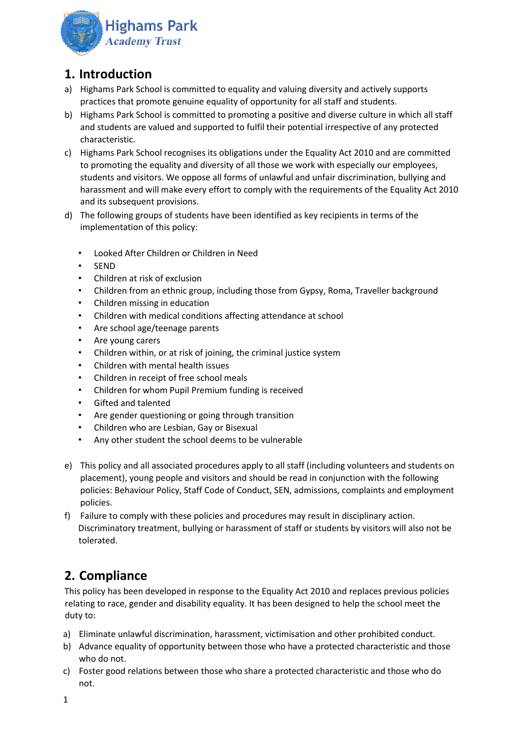

#### <span id="page-2-0"></span>**1. Introduction**

- a) Highams Park School is committed to equality and valuing diversity and actively supports practices that promote genuine equality of opportunity for all staff and students.
- b) Highams Park School is committed to promoting a positive and diverse culture in which all staff and students are valued and supported to fulfil their potential irrespective of any protected characteristic.
- c) Highams Park School recognises its obligations under the Equality Act 2010 and are committed to promoting the equality and diversity of all those we work with especially our employees, students and visitors. We oppose all forms of unlawful and unfair discrimination, bullying and harassment and will make every effort to comply with the requirements of the Equality Act 2010 and its subsequent provisions.
- d) The following groups of students have been identified as key recipients in terms of the implementation of this policy:
	- Looked After Children or Children in Need
	- SEND
	- Children at risk of exclusion
	- Children from an ethnic group, including those from Gypsy, Roma, Traveller background
	- Children missing in education
	- Children with medical conditions affecting attendance at school
	- Are school age/teenage parents
	- Are young carers
	- Children within, or at risk of joining, the criminal justice system
	- Children with mental health issues
	- Children in receipt of free school meals
	- Children for whom Pupil Premium funding is received
	- Gifted and talented
	- Are gender questioning or going through transition
	- Children who are Lesbian, Gay or Bisexual
	- Any other student the school deems to be vulnerable
- e) This policy and all associated procedures apply to all staff (including volunteers and students on placement), young people and visitors and should be read in conjunction with the following policies: Behaviour Policy, Staff Code of Conduct, SEN, admissions, complaints and employment policies.
- f) Failure to comply with these policies and procedures may result in disciplinary action. Discriminatory treatment, bullying or harassment of staff or students by visitors will also not be tolerated.

### <span id="page-2-1"></span>**2. Compliance**

This policy has been developed in response to the Equality Act 2010 and replaces previous policies relating to race, gender and disability equality. It has been designed to help the school meet the duty to:

- a) Eliminate unlawful discrimination, harassment, victimisation and other prohibited conduct.
- b) Advance equality of opportunity between those who have a protected characteristic and those who do not.
- c) Foster good relations between those who share a protected characteristic and those who do not.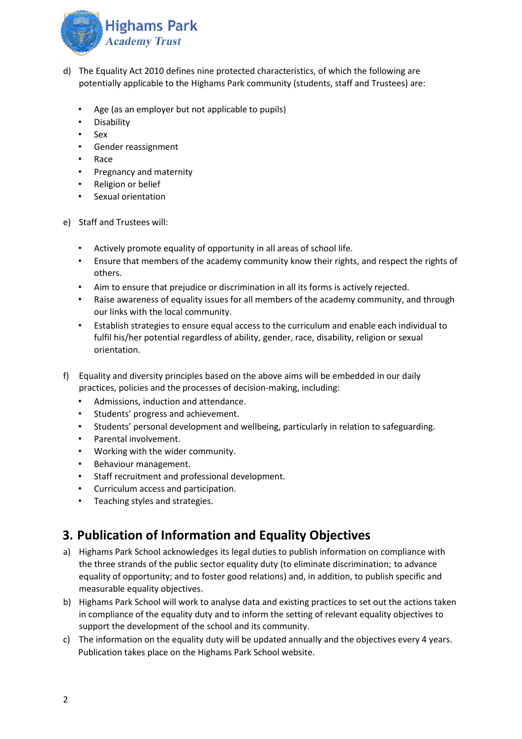

- d) The Equality Act 2010 defines nine protected characteristics, of which the following are potentially applicable to the Highams Park community (students, staff and Trustees) are:
	- Age (as an employer but not applicable to pupils)
	- Disability
	- Sex
	- Gender reassignment
	- Race
	- Pregnancy and maternity
	- Religion or belief
	- Sexual orientation
- e) Staff and Trustees will:
	- Actively promote equality of opportunity in all areas of school life.
	- Ensure that members of the academy community know their rights, and respect the rights of others.
	- Aim to ensure that prejudice or discrimination in all its forms is actively rejected.
	- Raise awareness of equality issues for all members of the academy community, and through our links with the local community.
	- Establish strategies to ensure equal access to the curriculum and enable each individual to fulfil his/her potential regardless of ability, gender, race, disability, religion or sexual orientation.
- f) Equality and diversity principles based on the above aims will be embedded in our daily practices, policies and the processes of decision-making, including:
	- Admissions, induction and attendance.
	- Students' progress and achievement.
	- Students' personal development and wellbeing, particularly in relation to safeguarding.
	- Parental involvement.
	- Working with the wider community.
	- Behaviour management.
	- Staff recruitment and professional development.
	- Curriculum access and participation.
	- Teaching styles and strategies.

#### <span id="page-3-0"></span>**3. Publication of Information and Equality Objectives**

- a) Highams Park School acknowledges its legal duties to publish information on compliance with the three strands of the public sector equality duty (to eliminate discrimination; to advance equality of opportunity; and to foster good relations) and, in addition, to publish specific and measurable equality objectives.
- b) Highams Park School will work to analyse data and existing practices to set out the actions taken in compliance of the equality duty and to inform the setting of relevant equality objectives to support the development of the school and its community.
- c) The information on the equality duty will be updated annually and the objectives every 4 years. Publication takes place on the Highams Park School website.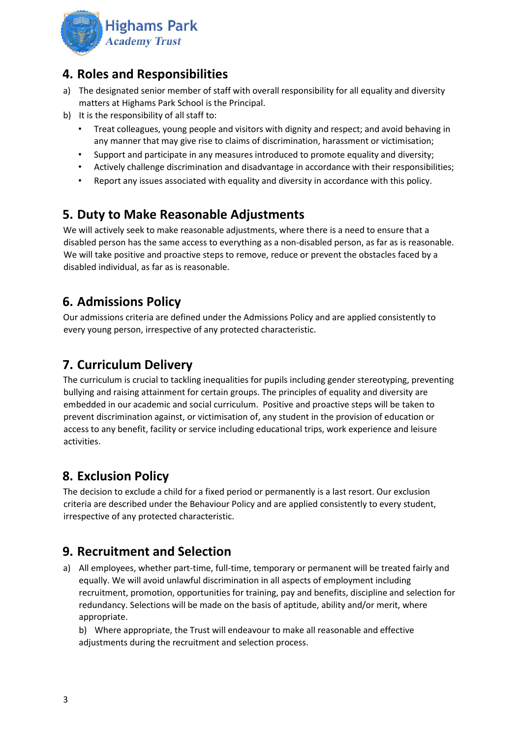

#### <span id="page-4-0"></span>**4. Roles and Responsibilities**

- a) The designated senior member of staff with overall responsibility for all equality and diversity matters at Highams Park School is the Principal.
- b) It is the responsibility of all staff to:
	- Treat colleagues, young people and visitors with dignity and respect; and avoid behaving in any manner that may give rise to claims of discrimination, harassment or victimisation;
	- Support and participate in any measures introduced to promote equality and diversity;
	- Actively challenge discrimination and disadvantage in accordance with their responsibilities;
	- Report any issues associated with equality and diversity in accordance with this policy.

#### <span id="page-4-1"></span>**5. Duty to Make Reasonable Adjustments**

We will actively seek to make reasonable adjustments, where there is a need to ensure that a disabled person has the same access to everything as a non-disabled person, as far as is reasonable. We will take positive and proactive steps to remove, reduce or prevent the obstacles faced by a disabled individual, as far as is reasonable.

#### <span id="page-4-2"></span>**6. Admissions Policy**

Our admissions criteria are defined under the Admissions Policy and are applied consistently to every young person, irrespective of any protected characteristic.

#### <span id="page-4-3"></span>**7. Curriculum Delivery**

The curriculum is crucial to tackling inequalities for pupils including gender stereotyping, preventing bullying and raising attainment for certain groups. The principles of equality and diversity are embedded in our academic and social curriculum. Positive and proactive steps will be taken to prevent discrimination against, or victimisation of, any student in the provision of education or access to any benefit, facility or service including educational trips, work experience and leisure activities.

#### <span id="page-4-4"></span>**8. Exclusion Policy**

The decision to exclude a child for a fixed period or permanently is a last resort. Our exclusion criteria are described under the Behaviour Policy and are applied consistently to every student, irrespective of any protected characteristic.

#### <span id="page-4-5"></span>**9. Recruitment and Selection**

a) All employees, whether part-time, full-time, temporary or permanent will be treated fairly and equally. We will avoid unlawful discrimination in all aspects of employment including recruitment, promotion, opportunities for training, pay and benefits, discipline and selection for redundancy. Selections will be made on the basis of aptitude, ability and/or merit, where appropriate.

b) Where appropriate, the Trust will endeavour to make all reasonable and effective adjustments during the recruitment and selection process.